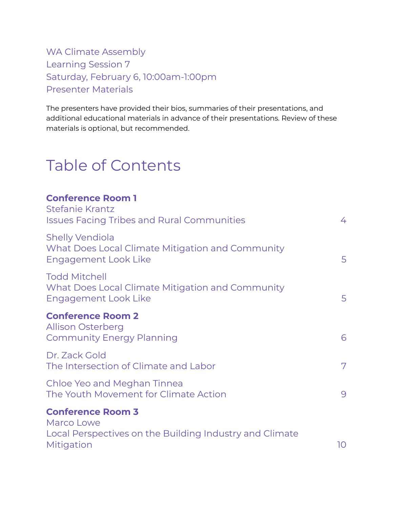### WA Climate Assembly Learning Session 7 Saturday, February 6, 10:00am-1:00pm Presenter Materials

The presenters have provided their bios, summaries of their presentations, and additional educational materials in advance of their presentations. Review of these materials is optional, but recommended.

# Table of Contents

# **Conference Room 1** [Stefanie](#page-2-0) Krantz Issues Facing Tribes and Rural [Communities](#page-2-1) [4](#page-2-1) Shelly [Vendiola](#page-3-0) What Does Local Climate Mitigation and [Community](#page-3-1) [Engagement](#page-3-1) Look Like [5](#page-3-1)5 Todd [Mitchell](#page-4-0) What Does Local Climate Mitigation and [Community](#page-4-1) [Engagement](#page-4-1) Look Like [5](#page-4-1)5 **Conference Room 2** Allison [Osterberg](#page-5-0) [Community](#page-5-1) Energy Planning **[6](#page-5-1)** 6 Dr. [Zack](#page-6-0) Gold The [Intersection](#page-6-1) of Climate and Labor [7](#page-6-1) and 7 Chloe Yeo and [Meghan](#page-8-0) Tinnea The Youth [Movement](#page-8-1) for Climate Action 600 metal 60 metal [9](#page-8-1) **Conference Room 3** [Marco](#page-9-0) Lowe Local [Perspectives](#page-9-1) on the Building Industry and Climate [Mitigation](#page-9-1) and the contract of the contract of the contract of the contract of the contract of the contract of the contract of the contract of the contract of the contract of the contract of the contract of the contract of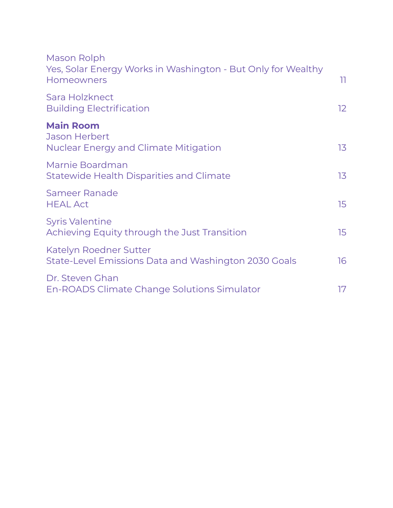| Mason Rolph<br>Yes, Solar Energy Works in Washington - But Only for Wealthy<br><b>Homeowners</b> | 11.              |
|--------------------------------------------------------------------------------------------------|------------------|
| Sara Holzknect<br><b>Building Electrification</b>                                                | 12 <sup>°</sup>  |
| <b>Main Room</b><br><b>Jason Herbert</b><br><b>Nuclear Energy and Climate Mitigation</b>         | 13               |
| Marnie Boardman<br><b>Statewide Health Disparities and Climate</b>                               | 13               |
| Sameer Ranade<br><b>HEAL Act</b>                                                                 | 15 <sub>15</sub> |
| <b>Syris Valentine</b><br>Achieving Equity through the Just Transition                           | 15 <sub>15</sub> |
| Katelyn Roedner Sutter<br>State-Level Emissions Data and Washington 2030 Goals                   | 16               |
| Dr. Steven Ghan<br>En-ROADS Climate Change Solutions Simulator                                   | 17               |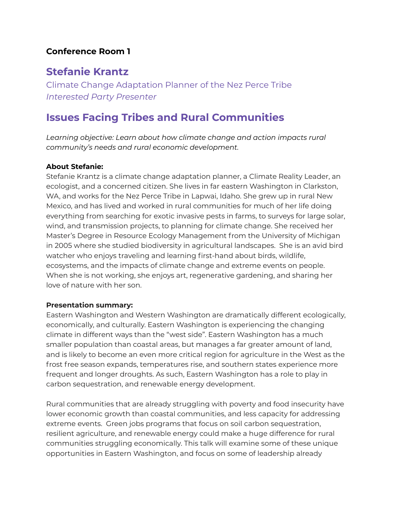#### **Conference Room 1**

### **Stefanie Krantz**

<span id="page-2-0"></span>Climate Change Adaptation Planner of the Nez Perce Tribe *Interested Party Presenter*

### <span id="page-2-1"></span>**Issues Facing Tribes and Rural Communities**

*Learning objective: Learn about how climate change and action impacts rural community's needs and rural economic development.*

#### **About Stefanie:**

Stefanie Krantz is a climate change adaptation planner, a Climate Reality Leader, an ecologist, and a concerned citizen. She lives in far eastern Washington in Clarkston, WA, and works for the Nez Perce Tribe in Lapwai, Idaho. She grew up in rural New Mexico, and has lived and worked in rural communities for much of her life doing everything from searching for exotic invasive pests in farms, to surveys for large solar, wind, and transmission projects, to planning for climate change. She received her Master's Degree in Resource Ecology Management from the University of Michigan in 2005 where she studied biodiversity in agricultural landscapes. She is an avid bird watcher who enjoys traveling and learning first-hand about birds, wildlife, ecosystems, and the impacts of climate change and extreme events on people. When she is not working, she enjoys art, regenerative gardening, and sharing her love of nature with her son.

#### **Presentation summary:**

Eastern Washington and Western Washington are dramatically different ecologically, economically, and culturally. Eastern Washington is experiencing the changing climate in different ways than the "west side". Eastern Washington has a much smaller population than coastal areas, but manages a far greater amount of land, and is likely to become an even more critical region for agriculture in the West as the frost free season expands, temperatures rise, and southern states experience more frequent and longer droughts. As such, Eastern Washington has a role to play in carbon sequestration, and renewable energy development.

Rural communities that are already struggling with poverty and food insecurity have lower economic growth than coastal communities, and less capacity for addressing extreme events. Green jobs programs that focus on soil carbon sequestration, resilient agriculture, and renewable energy could make a huge difference for rural communities struggling economically. This talk will examine some of these unique opportunities in Eastern Washington, and focus on some of leadership already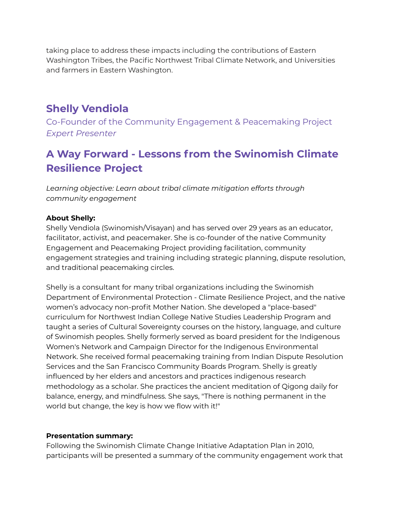taking place to address these impacts including the contributions of Eastern Washington Tribes, the Pacific Northwest Tribal Climate Network, and Universities and farmers in Eastern Washington.

### **Shelly Vendiola**

<span id="page-3-0"></span>Co-Founder of the Community Engagement & Peacemaking Project *Expert Presenter*

# <span id="page-3-1"></span>**A Way Forward - Lessons from the Swinomish Climate Resilience Project**

*Learning objective: Learn about tribal climate mitigation efforts through community engagement*

#### **About Shelly:**

Shelly Vendiola (Swinomish/Visayan) and has served over 29 years as an educator, facilitator, activist, and peacemaker. She is co-founder of the native Community Engagement and Peacemaking Project providing facilitation, community engagement strategies and training including strategic planning, dispute resolution, and traditional peacemaking circles.

Shelly is a consultant for many tribal organizations including the Swinomish Department of Environmental Protection - Climate Resilience Project, and the native women's advocacy non-profit Mother Nation. She developed a "place-based" curriculum for Northwest Indian College Native Studies Leadership Program and taught a series of Cultural Sovereignty courses on the history, language, and culture of Swinomish peoples. Shelly formerly served as board president for the Indigenous Women's Network and Campaign Director for the Indigenous Environmental Network. She received formal peacemaking training from Indian Dispute Resolution Services and the San Francisco Community Boards Program. Shelly is greatly influenced by her elders and ancestors and practices indigenous research methodology as a scholar. She practices the ancient meditation of Qigong daily for balance, energy, and mindfulness. She says, "There is nothing permanent in the world but change, the key is how we flow with it!"

#### **Presentation summary:**

Following the Swinomish Climate Change Initiative Adaptation Plan in 2010, participants will be presented a summary of the community engagement work that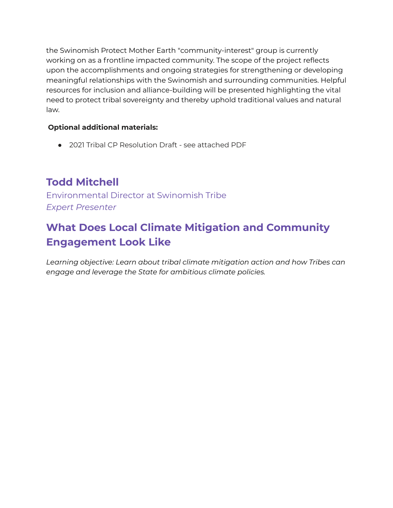the Swinomish Protect Mother Earth "community-interest" group is currently working on as a frontline impacted community. The scope of the project reflects upon the accomplishments and ongoing strategies for strengthening or developing meaningful relationships with the Swinomish and surrounding communities. Helpful resources for inclusion and alliance-building will be presented highlighting the vital need to protect tribal sovereignty and thereby uphold traditional values and natural law.

#### **Optional additional materials:**

● 2021 Tribal CP Resolution Draft - see attached PDF

# **Todd Mitchell**

<span id="page-4-0"></span>Environmental Director at Swinomish Tribe *Expert Presenter*

# <span id="page-4-1"></span>**What Does Local Climate Mitigation and Community Engagement Look Like**

*Learning objective: Learn about tribal climate mitigation action and how Tribes can engage and leverage the State for ambitious climate policies.*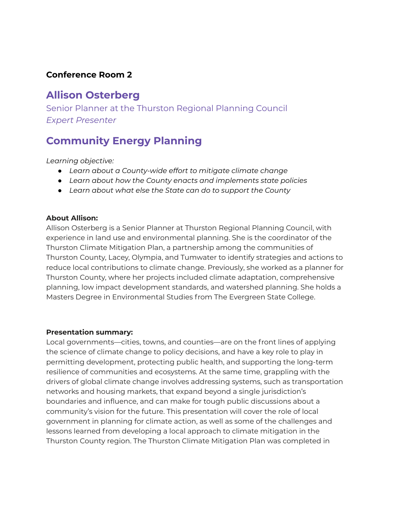#### **Conference Room 2**

### **Allison Osterberg**

<span id="page-5-0"></span>Senior Planner at the Thurston Regional Planning Council *Expert Presenter*

### <span id="page-5-1"></span>**Community Energy Planning**

*Learning objective:*

- *● Learn about a County-wide effort to mitigate climate change*
- *● Learn about how the County enacts and implements state policies*
- *● Learn about what else the State can do to support the County*

#### **About Allison:**

Allison Osterberg is a Senior Planner at Thurston Regional Planning Council, with experience in land use and environmental planning. She is the coordinator of the Thurston Climate Mitigation Plan, a partnership among the communities of Thurston County, Lacey, Olympia, and Tumwater to identify strategies and actions to reduce local contributions to climate change. Previously, she worked as a planner for Thurston County, where her projects included climate adaptation, comprehensive planning, low impact development standards, and watershed planning. She holds a Masters Degree in Environmental Studies from The Evergreen State College.

#### **Presentation summary:**

Local governments—cities, towns, and counties—are on the front lines of applying the science of climate change to policy decisions, and have a key role to play in permitting development, protecting public health, and supporting the long-term resilience of communities and ecosystems. At the same time, grappling with the drivers of global climate change involves addressing systems, such as transportation networks and housing markets, that expand beyond a single jurisdiction's boundaries and influence, and can make for tough public discussions about a community's vision for the future. This presentation will cover the role of local government in planning for climate action, as well as some of the challenges and lessons learned from developing a local approach to climate mitigation in the Thurston County region. The Thurston Climate Mitigation Plan was completed in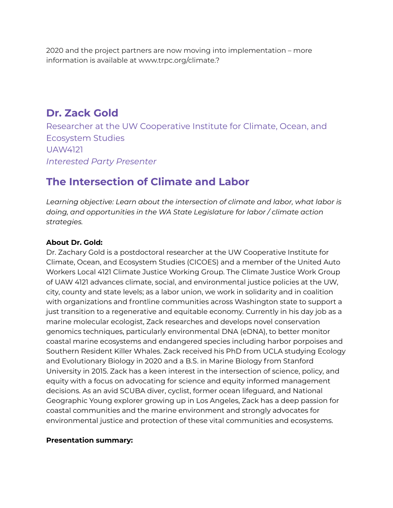2020 and the project partners are now moving into implementation – more information is available at www.trpc.org/climate.?

### **Dr. Zack Gold**

Researcher at the UW Cooperative Institute for Climate, Ocean, and Ecosystem Studies UAW4121 *Interested Party Presenter*

# <span id="page-6-1"></span><span id="page-6-0"></span>**The Intersection of Climate and Labor**

*Learning objective: Learn about the intersection of climate and labor, what labor is doing, and opportunities in the WA State Legislature for labor / climate action strategies.*

#### **About Dr. Gold:**

Dr. Zachary Gold is a postdoctoral researcher at the UW Cooperative Institute for Climate, Ocean, and Ecosystem Studies (CICOES) and a member of the United Auto Workers Local 4121 Climate Justice Working Group. The Climate Justice Work Group of UAW 4121 advances climate, social, and environmental justice policies at the UW, city, county and state levels; as a labor union, we work in solidarity and in coalition with organizations and frontline communities across Washington state to support a just transition to a regenerative and equitable economy. Currently in his day job as a marine molecular ecologist, Zack researches and develops novel conservation genomics techniques, particularly environmental DNA (eDNA), to better monitor coastal marine ecosystems and endangered species including harbor porpoises and Southern Resident Killer Whales. Zack received his PhD from UCLA studying Ecology and Evolutionary Biology in 2020 and a B.S. in Marine Biology from Stanford University in 2015. Zack has a keen interest in the intersection of science, policy, and equity with a focus on advocating for science and equity informed management decisions. As an avid SCUBA diver, cyclist, former ocean lifeguard, and National Geographic Young explorer growing up in Los Angeles, Zack has a deep passion for coastal communities and the marine environment and strongly advocates for environmental justice and protection of these vital communities and ecosystems.

#### **Presentation summary:**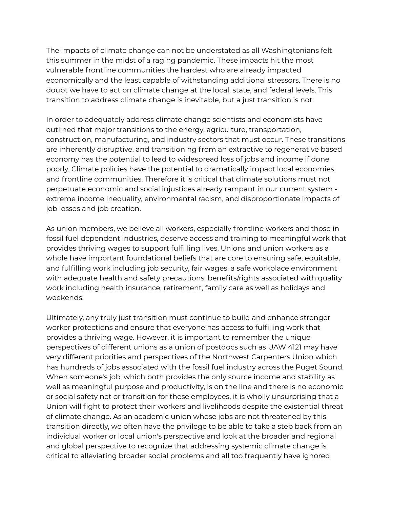The impacts of climate change can not be understated as all Washingtonians felt this summer in the midst of a raging pandemic. These impacts hit the most vulnerable frontline communities the hardest who are already impacted economically and the least capable of withstanding additional stressors. There is no doubt we have to act on climate change at the local, state, and federal levels. This transition to address climate change is inevitable, but a just transition is not.

In order to adequately address climate change scientists and economists have outlined that major transitions to the energy, agriculture, transportation, construction, manufacturing, and industry sectors that must occur. These transitions are inherently disruptive, and transitioning from an extractive to regenerative based economy has the potential to lead to widespread loss of jobs and income if done poorly. Climate policies have the potential to dramatically impact local economies and frontline communities. Therefore it is critical that climate solutions must not perpetuate economic and social injustices already rampant in our current system extreme income inequality, environmental racism, and disproportionate impacts of job losses and job creation.

As union members, we believe all workers, especially frontline workers and those in fossil fuel dependent industries, deserve access and training to meaningful work that provides thriving wages to support fulfilling lives. Unions and union workers as a whole have important foundational beliefs that are core to ensuring safe, equitable, and fulfilling work including job security, fair wages, a safe workplace environment with adequate health and safety precautions, benefits/rights associated with quality work including health insurance, retirement, family care as well as holidays and weekends.

Ultimately, any truly just transition must continue to build and enhance stronger worker protections and ensure that everyone has access to fulfilling work that provides a thriving wage. However, it is important to remember the unique perspectives of different unions as a union of postdocs such as UAW 4121 may have very different priorities and perspectives of the Northwest Carpenters Union which has hundreds of jobs associated with the fossil fuel industry across the Puget Sound. When someone's job, which both provides the only source income and stability as well as meaningful purpose and productivity, is on the line and there is no economic or social safety net or transition for these employees, it is wholly unsurprising that a Union will fight to protect their workers and livelihoods despite the existential threat of climate change. As an academic union whose jobs are not threatened by this transition directly, we often have the privilege to be able to take a step back from an individual worker or local union's perspective and look at the broader and regional and global perspective to recognize that addressing systemic climate change is critical to alleviating broader social problems and all too frequently have ignored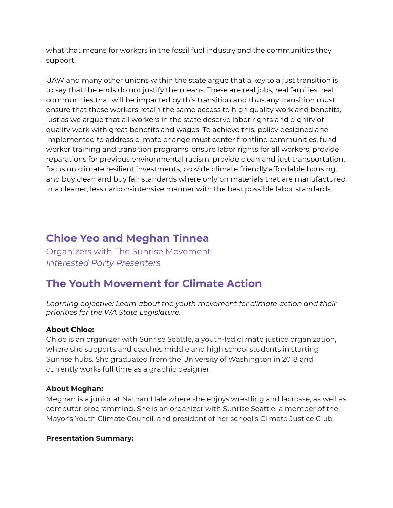what that means for workers in the fossil fuel industry and the communities they support.

UAW and many other unions within the state argue that a key to a just transition is to say that the ends do not justify the means. These are real jobs, real families, real communities that will be impacted by this transition and thus any transition must ensure that these workers retain the same access to high quality work and benefits, just as we argue that all workers in the state deserve labor rights and dignity of quality work with great benefits and wages. To achieve this, policy designed and implemented to address climate change must center frontline communities, fund worker training and transition programs, ensure labor rights for all workers, provide reparations for previous environmental racism, provide clean and just transportation, focus on climate resilient investments, provide climate friendly affordable housing, and buy clean and buy fair standards where only on materials that are manufactured in a cleaner, less carbon-intensive manner with the best possible labor standards.

## **Chloe Yeo and Meghan Tinnea**

<span id="page-8-0"></span>Organizers with The Sunrise Movement *Interested Party Presenters*

# <span id="page-8-1"></span>**The Youth Movement for Climate Action**

*Learning objective: Learn about the youth movement for climate action and their priorities for the WA State Legislature.*

#### **About Chloe:**

Chloe is an organizer with Sunrise Seattle, a youth-led climate justice organization, where she supports and coaches middle and high school students in starting Sunrise hubs. She graduated from the University of Washington in 2018 and currently works full time as a graphic designer.

#### **About Meghan:**

Meghan is a junior at Nathan Hale where she enjoys wrestling and lacrosse, as well as computer programming. She is an organizer with Sunrise Seattle, a member of the Mayor's Youth Climate Council, and president of her school's Climate Justice Club.

#### **Presentation Summary:**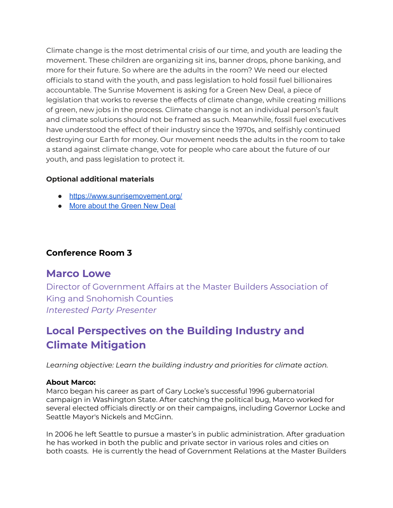Climate change is the most detrimental crisis of our time, and youth are leading the movement. These children are organizing sit ins, banner drops, phone banking, and more for their future. So where are the adults in the room? We need our elected officials to stand with the youth, and pass legislation to hold fossil fuel billionaires accountable. The Sunrise Movement is asking for a Green New Deal, a piece of legislation that works to reverse the effects of climate change, while creating millions of green, new jobs in the process. Climate change is not an individual person's fault and climate solutions should not be framed as such. Meanwhile, fossil fuel executives have understood the effect of their industry since the 1970s, and selfishly continued destroying our Earth for money. Our movement needs the adults in the room to take a stand against climate change, vote for people who care about the future of our youth, and pass legislation to protect it.

#### **Optional additional materials**

- <https://www.sunrisemovement.org/>
- More about the [Green](https://www.sunrisemovement.org/green-new-deal/?ms=WhatistheGreenNewDeal%3F#resolution) New Deal

#### **Conference Room 3**

### **Marco Lowe**

Director of Government Affairs at the Master Builders Association of King and Snohomish Counties *Interested Party Presenter*

# <span id="page-9-1"></span><span id="page-9-0"></span>**Local Perspectives on the Building Industry and Climate Mitigation**

*Learning objective: Learn the building industry and priorities for climate action.*

#### **About Marco:**

Marco began his career as part of Gary Locke's successful 1996 gubernatorial campaign in Washington State. After catching the political bug, Marco worked for several elected officials directly or on their campaigns, including Governor Locke and Seattle Mayor's Nickels and McGinn.

In 2006 he left Seattle to pursue a master's in public administration. After graduation he has worked in both the public and private sector in various roles and cities on both coasts. He is currently the head of Government Relations at the Master Builders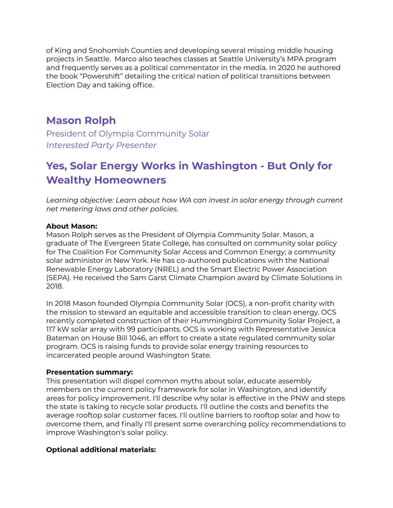of King and Snohomish Counties and developing several missing middle housing projects in Seattle. Marco also teaches classes at Seattle University's MPA program and frequently serves as a political commentator in the media. In 2020 he authored the book "Powershift" detailing the critical nation of political transitions between Election Day and taking office.

### **Mason Rolph**

<span id="page-10-0"></span>President of Olympia Community Solar *Interested Party Presenter*

# <span id="page-10-1"></span>**Yes, Solar Energy Works in Washington - But Only for Wealthy Homeowners**

*Learning objective: Learn about how WA can invest in solar energy through current net metering laws and other policies.*

#### **About Mason:**

Mason Rolph serves as the President of Olympia Community Solar. Mason, a graduate of The Evergreen State College, has consulted on community solar policy for The Coalition For Community Solar Access and Common Energy; a community solar administor in New York. He has co-authored publications with the National Renewable Energy Laboratory (NREL) and the Smart Electric Power Association (SEPA). He received the Sam Garst Climate Champion award by Climate Solutions in 2018.

In 2018 Mason founded Olympia Community Solar (OCS), a non-profit charity with the mission to steward an equitable and accessible transition to clean energy. OCS recently completed construction of their Hummingbird Community Solar Project, a 117 kW solar array with 99 participants. OCS is working with Representative Jessica Bateman on House Bill 1046, an effort to create a state regulated community solar program. OCS is raising funds to provide solar energy training resources to incarcerated people around Washington State.

#### **Presentation summary:**

This presentation will dispel common myths about solar, educate assembly members on the current policy framework for solar in Washington, and identify areas for policy improvement. I'll describe why solar is effective in the PNW and steps the state is taking to recycle solar products. I'll outline the costs and benefits the average rooftop solar customer faces. I'll outline barriers to rooftop solar and how to overcome them, and finally I'll present some overarching policy recommendations to improve Washington's solar policy.

#### **Optional additional materials:**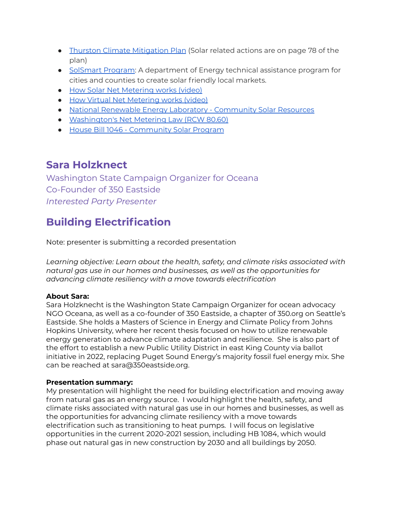- Thurston Climate [Mitigation](https://www.trpc.org/1026/Final-Plan) Plan (Solar related actions are on page 78 of the plan)
- [SolSmart](http://solsmart.org/) Program: A department of Energy technical assistance program for cities and counties to create solar friendly local markets.
- How Solar Net [Metering](https://www.youtube.com/watch?v=wId3Llpr4ZM) works (video)
- How Virtual Net [Metering](https://www.youtube.com/watch?v=sKEPmt4goqI&t=1s) works (video)
- National Renewable Energy Laboratory [Community](https://www.nrel.gov/state-local-tribal/community-solar.html) Solar Resources
- [Washington's](https://app.leg.wa.gov/rcw/default.aspx?cite=80.60) Net Metering Law (RCW 80.60)
- House Bill 1046 [Community](https://app.leg.wa.gov/billsummary?BillNumber=1046&Initiative=false&Year=2021) Solar Program

### **Sara Holzknect**

Washington State Campaign Organizer for Oceana Co-Founder of 350 Eastside *Interested Party Presenter*

# <span id="page-11-1"></span><span id="page-11-0"></span>**Building Electrification**

Note: presenter is submitting a recorded presentation

*Learning objective: Learn about the health, safety, and climate risks associated with natural gas use in our homes and businesses, as well as the opportunities for advancing climate resiliency with a move towards electrification*

#### **About Sara:**

Sara Holzknecht is the Washington State Campaign Organizer for ocean advocacy NGO Oceana, as well as a co-founder of 350 Eastside, a chapter of 350.org on Seattle's Eastside. She holds a Masters of Science in Energy and Climate Policy from Johns Hopkins University, where her recent thesis focused on how to utilize renewable energy generation to advance climate adaptation and resilience. She is also part of the effort to establish a new Public Utility District in east King County via ballot initiative in 2022, replacing Puget Sound Energy's majority fossil fuel energy mix. She can be reached at sara@350eastside.org.

#### **Presentation summary:**

My presentation will highlight the need for building electrification and moving away from natural gas as an energy source. I would highlight the health, safety, and climate risks associated with natural gas use in our homes and businesses, as well as the opportunities for advancing climate resiliency with a move towards electrification such as transitioning to heat pumps. I will focus on legislative opportunities in the current 2020-2021 session, including HB 1084, which would phase out natural gas in new construction by 2030 and all buildings by 2050.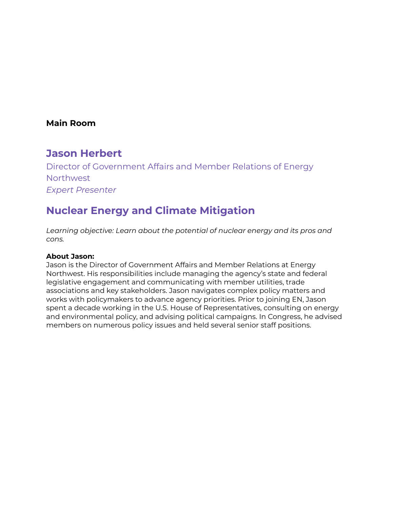#### **Main Room**

### **Jason Herbert**

Director of Government Affairs and Member Relations of Energy Northwest *Expert Presenter*

# <span id="page-12-1"></span><span id="page-12-0"></span>**Nuclear Energy and Climate Mitigation**

*Learning objective: Learn about the potential of nuclear energy and its pros and cons.*

#### **About Jason:**

Jason is the Director of Government Affairs and Member Relations at Energy Northwest. His responsibilities include managing the agency's state and federal legislative engagement and communicating with member utilities, trade associations and key stakeholders. Jason navigates complex policy matters and works with policymakers to advance agency priorities. Prior to joining EN, Jason spent a decade working in the U.S. House of Representatives, consulting on energy and environmental policy, and advising political campaigns. In Congress, he advised members on numerous policy issues and held several senior staff positions.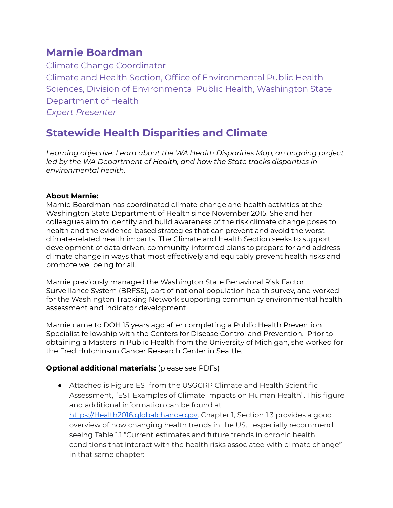### **Marnie Boardman**

Climate Change Coordinator Climate and Health Section, Office of Environmental Public Health Sciences, Division of Environmental Public Health, Washington State Department of Health *Expert Presenter*

# <span id="page-13-1"></span><span id="page-13-0"></span>**Statewide Health Disparities and Climate**

*Learning objective: Learn about the WA Health Disparities Map, an ongoing project led by the WA Department of Health, and how the State tracks disparities in environmental health.*

#### **About Marnie:**

Marnie Boardman has coordinated climate change and health activities at the Washington State Department of Health since November 2015. She and her colleagues aim to identify and build awareness of the risk climate change poses to health and the evidence-based strategies that can prevent and avoid the worst climate-related health impacts. The Climate and Health Section seeks to support development of data driven, community-informed plans to prepare for and address climate change in ways that most effectively and equitably prevent health risks and promote wellbeing for all.

Marnie previously managed the Washington State Behavioral Risk Factor Surveillance System (BRFSS), part of national population health survey, and worked for the Washington Tracking Network supporting community environmental health assessment and indicator development.

Marnie came to DOH 15 years ago after completing a Public Health Prevention Specialist fellowship with the Centers for Disease Control and Prevention. Prior to obtaining a Masters in Public Health from the University of Michigan, she worked for the Fred Hutchinson Cancer Research Center in Seattle.

#### **Optional additional materials:** (please see PDFs)

● Attached is Figure ES1 from the USGCRP Climate and Health Scientific Assessment, "ES1. Examples of Climate Impacts on Human Health". This figure and additional information can be found at [https://Health2016.globalchange.gov.](https://health2016.globalchange.gov/) Chapter 1, Section 1.3 provides a good overview of how changing health trends in the US. I especially recommend seeing Table 1.1 "Current estimates and future trends in chronic health conditions that interact with the health risks associated with climate change" in that same chapter: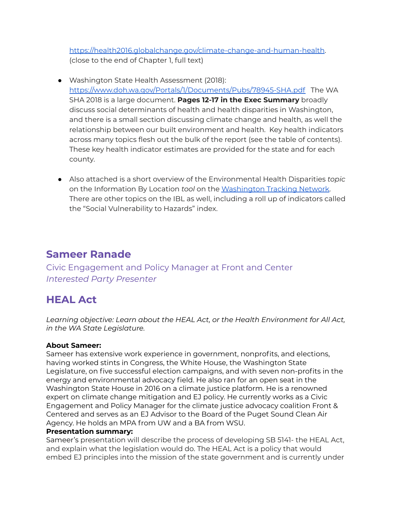<https://health2016.globalchange.gov/climate-change-and-human-health>. (close to the end of Chapter 1, full text)

- Washington State Health Assessment (2018): <https://www.doh.wa.gov/Portals/1/Documents/Pubs/78945-SHA.pdf> The WA SHA 2018 is a large document. **Pages 12-17 in the Exec Summary** broadly discuss social determinants of health and health disparities in Washington, and there is a small section discussing climate change and health, as well the relationship between our built environment and health. Key health indicators across many topics flesh out the bulk of the report (see the table of contents). These key health indicator estimates are provided for the state and for each county.
- Also attached is a short overview of the Environmental Health Disparities *topic* on the Information By Location *tool* on the [Washington](https://www.doh.wa.gov/DataandStatisticalReports/WashingtonTrackingNetworkWTN) Tracking Network. There are other topics on the IBL as well, including a roll up of indicators called the "Social Vulnerability to Hazards" index.

### **Sameer Ranade**

<span id="page-14-0"></span>Civic Engagement and Policy Manager at Front and Center *Interested Party Presenter*

# <span id="page-14-1"></span>**HEAL Act**

*Learning objective: Learn about the HEAL Act, or the Health Environment for All Act, in the WA State Legislature.*

#### **About Sameer:**

Sameer has extensive work experience in government, nonprofits, and elections, having worked stints in Congress, the White House, the Washington State Legislature, on five successful election campaigns, and with seven non-profits in the energy and environmental advocacy field. He also ran for an open seat in the Washington State House in 2016 on a climate justice platform. He is a renowned expert on climate change mitigation and EJ policy. He currently works as a Civic Engagement and Policy Manager for the climate justice advocacy coalition Front & Centered and serves as an EJ Advisor to the Board of the Puget Sound Clean Air Agency. He holds an MPA from UW and a BA from WSU.

#### **Presentation summary:**

Sameer's presentation will describe the process of developing SB 5141- the HEAL Act, and explain what the legislation would do. The HEAL Act is a policy that would embed EJ principles into the mission of the state government and is currently under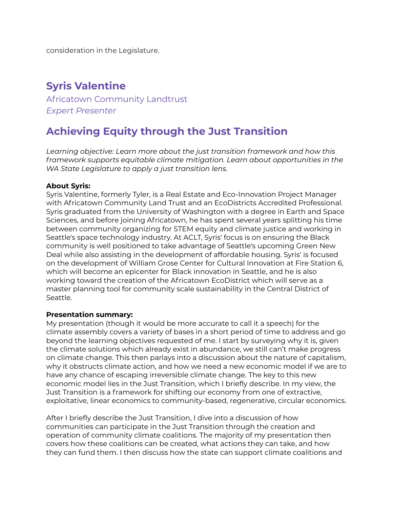consideration in the Legislature.

### **Syris Valentine**

<span id="page-15-0"></span>Africatown Community Landtrust *Expert Presenter*

## <span id="page-15-1"></span>**Achieving Equity through the Just Transition**

*Learning objective: Learn more about the just transition framework and how this framework supports equitable climate mitigation. Learn about opportunities in the WA State Legislature to apply a just transition lens.*

#### **About Syris:**

Syris Valentine, formerly Tyler, is a Real Estate and Eco-Innovation Project Manager with Africatown Community Land Trust and an EcoDistricts Accredited Professional. Syris graduated from the University of Washington with a degree in Earth and Space Sciences, and before joining Africatown, he has spent several years splitting his time between community organizing for STEM equity and climate justice and working in Seattle's space technology industry. At ACLT, Syris' focus is on ensuring the Black community is well positioned to take advantage of Seattle's upcoming Green New Deal while also assisting in the development of affordable housing. Syris' is focused on the development of William Grose Center for Cultural Innovation at Fire Station 6, which will become an epicenter for Black innovation in Seattle, and he is also working toward the creation of the Africatown EcoDistrict which will serve as a master planning tool for community scale sustainability in the Central District of Seattle.

#### **Presentation summary:**

My presentation (though it would be more accurate to call it a speech) for the climate assembly covers a variety of bases in a short period of time to address and go beyond the learning objectives requested of me. I start by surveying why it is, given the climate solutions which already exist in abundance, we still can't make progress on climate change. This then parlays into a discussion about the nature of capitalism, why it obstructs climate action, and how we need a new economic model if we are to have any chance of escaping irreversible climate change. The key to this new economic model lies in the Just Transition, which I briefly describe. In my view, the Just Transition is a framework for shifting our economy from one of extractive, exploitative, linear economics to community-based, regenerative, circular economics.

After I briefly describe the Just Transition, I dive into a discussion of how communities can participate in the Just Transition through the creation and operation of community climate coalitions. The majority of my presentation then covers how these coalitions can be created, what actions they can take, and how they can fund them. I then discuss how the state can support climate coalitions and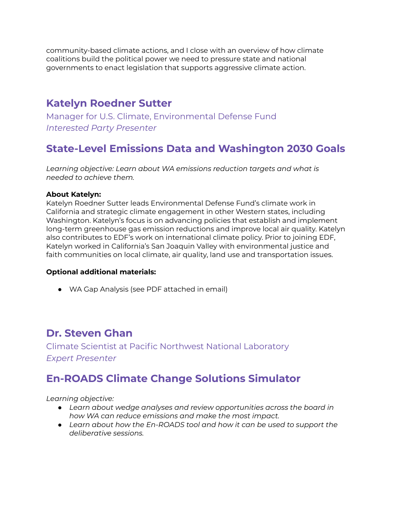community-based climate actions, and I close with an overview of how climate coalitions build the political power we need to pressure state and national governments to enact legislation that supports aggressive climate action.

## **Katelyn Roedner Sutter**

<span id="page-16-0"></span>Manager for U.S. Climate, Environmental Defense Fund *Interested Party Presenter*

# <span id="page-16-1"></span>**State-Level Emissions Data and Washington 2030 Goals**

*Learning objective: Learn about WA emissions reduction targets and what is needed to achieve them.*

#### **About Katelyn:**

Katelyn Roedner Sutter leads Environmental Defense Fund's climate work in California and strategic climate engagement in other Western states, including Washington. Katelyn's focus is on advancing policies that establish and implement long-term greenhouse gas emission reductions and improve local air quality. Katelyn also contributes to EDF's work on international climate policy. Prior to joining EDF, Katelyn worked in California's San Joaquin Valley with environmental justice and faith communities on local climate, air quality, land use and transportation issues.

#### **Optional additional materials:**

● WA Gap Analysis (see PDF attached in email)

### **Dr. Steven Ghan**

<span id="page-16-2"></span>Climate Scientist at Pacific Northwest National Laboratory *Expert Presenter*

# <span id="page-16-3"></span>**En-ROADS Climate Change Solutions Simulator**

*Learning objective:*

- *● Learn about wedge analyses and review opportunities across the board in how WA can reduce emissions and make the most impact.*
- *● Learn about how the En-ROADS tool and how it can be used to support the deliberative sessions.*